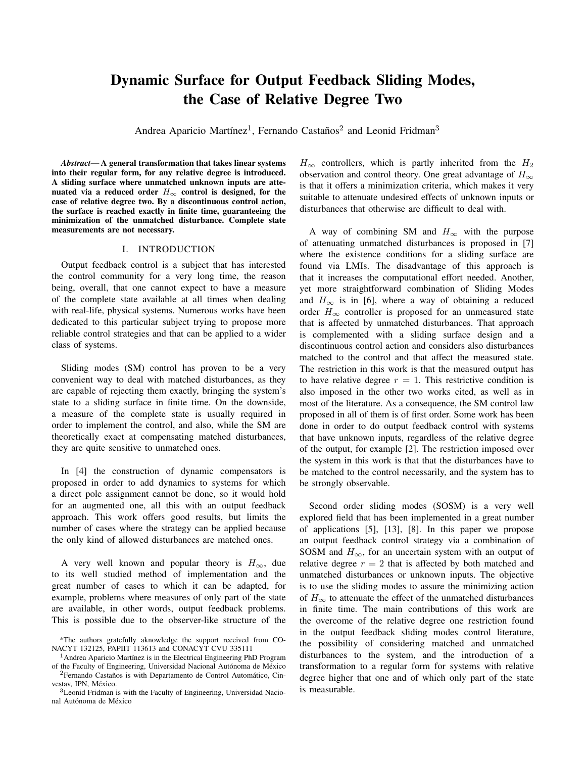# Dynamic Surface for Output Feedback Sliding Modes, the Case of Relative Degree Two

Andrea Aparicio Martínez<sup>1</sup>, Fernando Castaños<sup>2</sup> and Leonid Fridman<sup>3</sup>

*Abstract*— A general transformation that takes linear systems into their regular form, for any relative degree is introduced. A sliding surface where unmatched unknown inputs are attenuated via a reduced order  $H_{\infty}$  control is designed, for the case of relative degree two. By a discontinuous control action, the surface is reached exactly in finite time, guaranteeing the minimization of the unmatched disturbance. Complete state measurements are not necessary.

### I. INTRODUCTION

Output feedback control is a subject that has interested the control community for a very long time, the reason being, overall, that one cannot expect to have a measure of the complete state available at all times when dealing with real-life, physical systems. Numerous works have been dedicated to this particular subject trying to propose more reliable control strategies and that can be applied to a wider class of systems.

Sliding modes (SM) control has proven to be a very convenient way to deal with matched disturbances, as they are capable of rejecting them exactly, bringing the system's state to a sliding surface in finite time. On the downside, a measure of the complete state is usually required in order to implement the control, and also, while the SM are theoretically exact at compensating matched disturbances, they are quite sensitive to unmatched ones.

In [4] the construction of dynamic compensators is proposed in order to add dynamics to systems for which a direct pole assignment cannot be done, so it would hold for an augmented one, all this with an output feedback approach. This work offers good results, but limits the number of cases where the strategy can be applied because the only kind of allowed disturbances are matched ones.

A very well known and popular theory is  $H_{\infty}$ , due to its well studied method of implementation and the great number of cases to which it can be adapted, for example, problems where measures of only part of the state are available, in other words, output feedback problems. This is possible due to the observer-like structure of the  $H_{\infty}$  controllers, which is partly inherited from the  $H_2$ observation and control theory. One great advantage of  $H_{\infty}$ is that it offers a minimization criteria, which makes it very suitable to attenuate undesired effects of unknown inputs or disturbances that otherwise are difficult to deal with.

A way of combining SM and  $H_{\infty}$  with the purpose of attenuating unmatched disturbances is proposed in [7] where the existence conditions for a sliding surface are found via LMIs. The disadvantage of this approach is that it increases the computational effort needed. Another, yet more straightforward combination of Sliding Modes and  $H_{\infty}$  is in [6], where a way of obtaining a reduced order  $H_{\infty}$  controller is proposed for an unmeasured state that is affected by unmatched disturbances. That approach is complemented with a sliding surface design and a discontinuous control action and considers also disturbances matched to the control and that affect the measured state. The restriction in this work is that the measured output has to have relative degree  $r = 1$ . This restrictive condition is also imposed in the other two works cited, as well as in most of the literature. As a consequence, the SM control law proposed in all of them is of first order. Some work has been done in order to do output feedback control with systems that have unknown inputs, regardless of the relative degree of the output, for example [2]. The restriction imposed over the system in this work is that that the disturbances have to be matched to the control necessarily, and the system has to be strongly observable.

Second order sliding modes (SOSM) is a very well explored field that has been implemented in a great number of applications [5], [13], [8]. In this paper we propose an output feedback control strategy via a combination of SOSM and  $H_{\infty}$ , for an uncertain system with an output of relative degree  $r = 2$  that is affected by both matched and unmatched disturbances or unknown inputs. The objective is to use the sliding modes to assure the minimizing action of  $H_{\infty}$  to attenuate the effect of the unmatched disturbances in finite time. The main contributions of this work are the overcome of the relative degree one restriction found in the output feedback sliding modes control literature, the possibility of considering matched and unmatched disturbances to the system, and the introduction of a transformation to a regular form for systems with relative degree higher that one and of which only part of the state is measurable.

<sup>\*</sup>The authors gratefully aknowledge the support received from CO-NACYT 132125, PAPIIT 113613 and CONACYT CVU 335111

 $<sup>1</sup>$ Andrea Aparicio Martínez is in the Electrical Engineering PhD Program</sup> of the Faculty of Engineering, Universidad Nacional Autónoma de México

 $2$ Fernando Castaños is with Departamento de Control Automático, Cinvestav, IPN, México.

<sup>3</sup>Leonid Fridman is with the Faculty of Engineering, Universidad Nacional Autónoma de México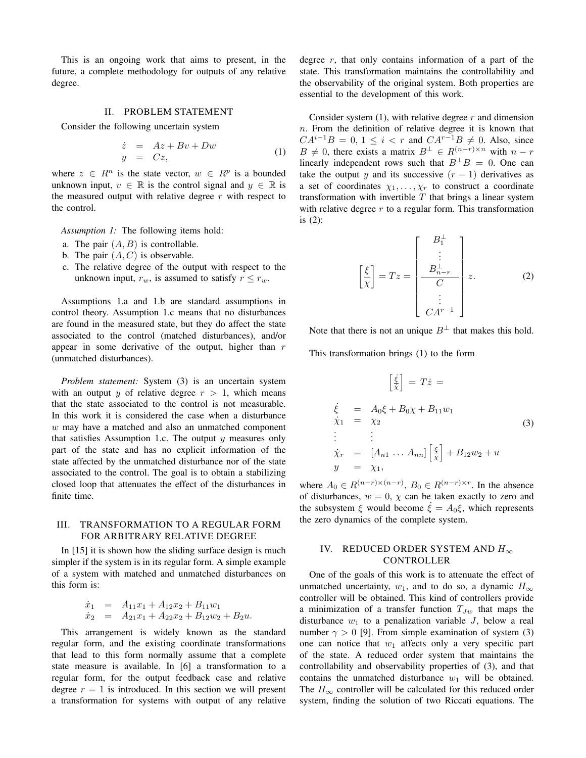This is an ongoing work that aims to present, in the future, a complete methodology for outputs of any relative degree.

### II. PROBLEM STATEMENT

Consider the following uncertain system

$$
\begin{array}{rcl}\n\dot{z} & = & Az + Bv + Dw \\
y & = & Cz,\n\end{array}\n\tag{1}
$$

where  $z \in R^n$  is the state vector,  $w \in R^p$  is a bounded unknown input,  $v \in \mathbb{R}$  is the control signal and  $y \in \mathbb{R}$  is the measured output with relative degree  $r$  with respect to the control.

*Assumption 1:* The following items hold:

- a. The pair  $(A, B)$  is controllable.
- b. The pair  $(A, C)$  is observable.
- c. The relative degree of the output with respect to the unknown input,  $r_w$ , is assumed to satisfy  $r \le r_w$ .

Assumptions 1.a and 1.b are standard assumptions in control theory. Assumption 1.c means that no disturbances are found in the measured state, but they do affect the state associated to the control (matched disturbances), and/or appear in some derivative of the output, higher than  $r$ (unmatched disturbances).

*Problem statement:* System (3) is an uncertain system with an output y of relative degree  $r > 1$ , which means that the state associated to the control is not measurable. In this work it is considered the case when a disturbance w may have a matched and also an unmatched component that satisfies Assumption 1.c. The output  $y$  measures only part of the state and has no explicit information of the state affected by the unmatched disturbance nor of the state associated to the control. The goal is to obtain a stabilizing closed loop that attenuates the effect of the disturbances in finite time.

## III. TRANSFORMATION TO A REGULAR FORM FOR ARBITRARY RELATIVE DEGREE

In [15] it is shown how the sliding surface design is much simpler if the system is in its regular form. A simple example of a system with matched and unmatched disturbances on this form is:

$$
\dot{x}_1 = A_{11}x_1 + A_{12}x_2 + B_{11}w_1 \n\dot{x}_2 = A_{21}x_1 + A_{22}x_2 + B_{12}w_2 + B_{2}u.
$$

This arrangement is widely known as the standard regular form, and the existing coordinate transformations that lead to this form normally assume that a complete state measure is available. In [6] a transformation to a regular form, for the output feedback case and relative degree  $r = 1$  is introduced. In this section we will present a transformation for systems with output of any relative degree  $r$ , that only contains information of a part of the state. This transformation maintains the controllability and the observability of the original system. Both properties are essential to the development of this work.

Consider system  $(1)$ , with relative degree r and dimension n. From the definition of relative degree it is known that  $CA^{i-1}B = 0, 1 \leq i < r$  and  $CA^{r-1}B \neq 0$ . Also, since  $B \neq 0$ , there exists a matrix  $B^{\perp} \in R^{(n-r)\times n}$  with  $n-r$ linearly independent rows such that  $B^{\perp}B = 0$ . One can take the output y and its successive  $(r - 1)$  derivatives as a set of coordinates  $\chi_1, \ldots, \chi_r$  to construct a coordinate transformation with invertible  $T$  that brings a linear system with relative degree  $r$  to a regular form. This transformation is (2):

$$
\left[\frac{\xi}{\chi}\right] = Tz = \begin{bmatrix} B_1^{\perp} \\ \vdots \\ B_{n-r}^{\perp} \\ C \\ \vdots \\ CA^{r-1} \end{bmatrix} z.
$$
 (2)

Note that there is not an unique  $B^{\perp}$  that makes this hold.

This transformation brings (1) to the form

$$
\begin{aligned}\n\left[\frac{\dot{\xi}}{\dot{x}}\right] &= T\dot{z} = \\
\dot{\xi} &= A_0\xi + B_0\chi + B_{11}w_1 \\
\dot{\chi}_1 &= \chi_2\n\end{aligned} \tag{3}
$$
\n
$$
\begin{aligned}\n\dot{\chi}_r &= [A_{n1} \dots A_{nn}] \left[\frac{\xi}{\chi}\right] + B_{12}w_2 + u \\
y &= \chi_1,\n\end{aligned}
$$

where  $A_0 \in R^{(n-r)\times (n-r)}$ ,  $B_0 \in R^{(n-r)\times r}$ . In the absence of disturbances,  $w = 0$ ,  $\chi$  can be taken exactly to zero and the subsystem  $\xi$  would become  $\xi = A_0 \xi$ , which represents the zero dynamics of the complete system.

# IV. REDUCED ORDER SYSTEM AND  $H_{\infty}$ CONTROLLER

One of the goals of this work is to attenuate the effect of unmatched uncertainty,  $w_1$ , and to do so, a dynamic  $H_{\infty}$ controller will be obtained. This kind of controllers provide a minimization of a transfer function  $T_{Jw}$  that maps the disturbance  $w_1$  to a penalization variable J, below a real number  $\gamma > 0$  [9]. From simple examination of system (3) one can notice that  $w_1$  affects only a very specific part of the state. A reduced order system that maintains the controllability and observability properties of (3), and that contains the unmatched disturbance  $w_1$  will be obtained. The  $H_{\infty}$  controller will be calculated for this reduced order system, finding the solution of two Riccati equations. The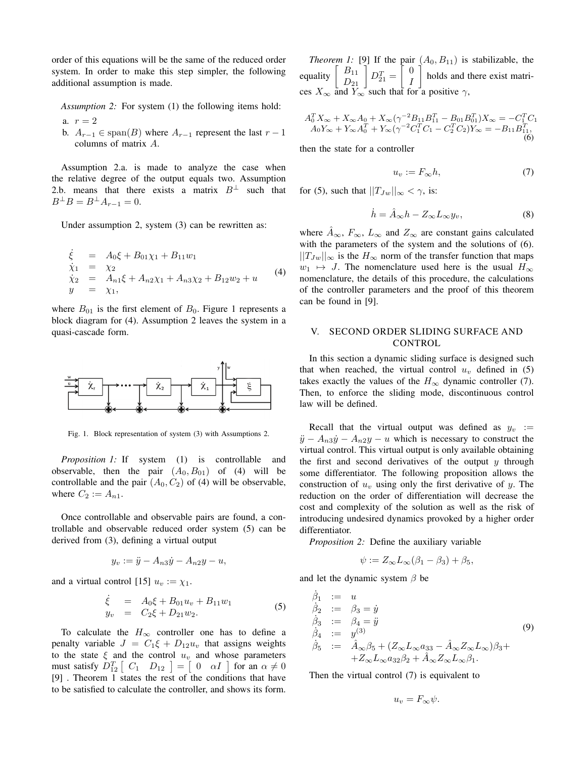order of this equations will be the same of the reduced order system. In order to make this step simpler, the following additional assumption is made.

*Assumption 2:* For system (1) the following items hold:

- a.  $r = 2$
- b.  $A_{r-1} \in \text{span}(B)$  where  $A_{r-1}$  represent the last  $r-1$ columns of matrix A.

Assumption 2.a. is made to analyze the case when the relative degree of the output equals two. Assumption 2.b. means that there exists a matrix  $B^{\perp}$  such that  $B^{\perp}B = B^{\perp}A_{r-1} = 0.$ 

Under assumption 2, system (3) can be rewritten as:

$$
\dot{\xi} = A_0 \xi + B_{01} \chi_1 + B_{11} w_1 \n\dot{\chi}_1 = \chi_2 \n\dot{\chi}_2 = A_{n1} \xi + A_{n2} \chi_1 + A_{n3} \chi_2 + B_{12} w_2 + u
$$
\n(4)  
\n
$$
y = \chi_1,
$$

where  $B_{01}$  is the first element of  $B_0$ . Figure 1 represents a block diagram for (4). Assumption 2 leaves the system in a quasi-cascade form.



Fig. 1. Block representation of system (3) with Assumptions 2.

*Proposition 1:* If system (1) is controllable and observable, then the pair  $(A_0, B_{01})$  of (4) will be controllable and the pair  $(A_0, C_2)$  of (4) will be observable, where  $C_2 := A_{n1}$ .

Once controllable and observable pairs are found, a controllable and observable reduced order system (5) can be derived from (3), defining a virtual output

$$
y_v := \ddot{y} - A_{n3}\dot{y} - A_{n2}y - u,
$$

and a virtual control [15]  $u_v := \chi_1$ .

$$
\dot{\xi} = A_0 \xi + B_{01} u_v + B_{11} w_1 \n y_v = C_2 \xi + D_{21} w_2.
$$
\n(5)

To calculate the  $H_{\infty}$  controller one has to define a penalty variable  $J = C_1 \xi + D_{12} u_v$  that assigns weights to the state  $\xi$  and the control  $u_v$  and whose parameters must satisfy  $D_{12}^T \left[ C_1 \quad D_{12} \right] = \left[ \begin{array}{cc} 0 & \alpha I \end{array} \right]$  for an  $\alpha \neq 0$ [9] . Theorem 1 states the rest of the conditions that have to be satisfied to calculate the controller, and shows its form.

*Theorem 1:* [9] If the pair  $(A_0, B_{11})$  is stabilizable, the equality  $\begin{bmatrix} B_{11} \\ D_{21} \end{bmatrix} D_{21}^T = \begin{bmatrix} 0 \\ I \end{bmatrix}$ I holds and there exist matrices  $X_{\infty}$  and  $Y_{\infty}$  such that for a positive  $\gamma$ ,

$$
A_0^T X_{\infty} + X_{\infty} A_0 + X_{\infty} (\gamma^{-2} B_{11} B_{11}^T - B_{01} B_{01}^T) X_{\infty} = -C_1^T C_1 A_0 Y_{\infty} + Y_{\infty} A_0^T + Y_{\infty} (\gamma^{-2} C_1^T C_1 - C_2^T C_2) Y_{\infty} = -B_{11} B_{11}^T,
$$
\n(6)

then the state for a controller

$$
u_v := F_{\infty} h,\tag{7}
$$

for (5), such that  $||T_{Jw}||_{\infty} < \gamma$ , is:

$$
\dot{h} = \hat{A}_{\infty}h - Z_{\infty}L_{\infty}y_v,\tag{8}
$$

where  $\hat{A}_{\infty}$ ,  $F_{\infty}$ ,  $L_{\infty}$  and  $Z_{\infty}$  are constant gains calculated with the parameters of the system and the solutions of (6).  $||T_{Jw}||_{\infty}$  is the  $H_{\infty}$  norm of the transfer function that maps  $w_1 \mapsto J$ . The nomenclature used here is the usual  $H_{\infty}$ nomenclature, the details of this procedure, the calculations of the controller parameters and the proof of this theorem can be found in [9].

## V. SECOND ORDER SLIDING SURFACE AND **CONTROL**

In this section a dynamic sliding surface is designed such that when reached, the virtual control  $u<sub>v</sub>$  defined in (5) takes exactly the values of the  $H_{\infty}$  dynamic controller (7). Then, to enforce the sliding mode, discontinuous control law will be defined.

Recall that the virtual output was defined as  $y_v :=$  $\ddot{y} - A_{n3}\dot{y} - A_{n2}y - u$  which is necessary to construct the virtual control. This virtual output is only available obtaining the first and second derivatives of the output  $y$  through some differentiator. The following proposition allows the construction of  $u<sub>v</sub>$  using only the first derivative of y. The reduction on the order of differentiation will decrease the cost and complexity of the solution as well as the risk of introducing undesired dynamics provoked by a higher order differentiator.

*Proposition 2:* Define the auxiliary variable

$$
\psi := Z_{\infty}L_{\infty}(\beta_1 - \beta_3) + \beta_5,
$$

and let the dynamic system  $\beta$  be

$$
\dot{\beta}_1 := u \n\dot{\beta}_2 := \beta_3 = \dot{y} \n\dot{\beta}_3 := \beta_4 = \ddot{y} \n\dot{\beta}_4 := y^{(3)} \n\dot{\beta}_5 := \hat{A}_{\infty} \beta_5 + (Z_{\infty} L_{\infty} a_{33} - \hat{A}_{\infty} Z_{\infty} L_{\infty}) \beta_3 + \n+ Z_{\infty} L_{\infty} a_{32} \beta_2 + \hat{A}_{\infty} Z_{\infty} L_{\infty} \beta_1.
$$
\n(9)

Then the virtual control (7) is equivalent to

$$
u_v = F_{\infty} \psi.
$$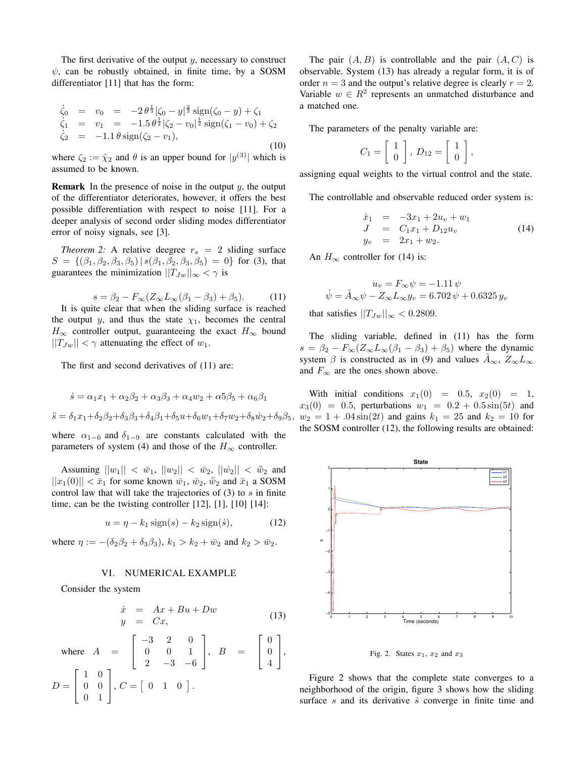The first derivative of the output  $y$ , necessary to construct  $\psi$ , can be robustly obtained, in finite time, by a SOSM differentiator [11] that has the form:

$$
\begin{array}{rcl}\n\dot{\zeta}_0 & = & v_0 = -2\,\theta^{\frac{1}{3}}|\zeta_0 - y|^{\frac{2}{3}}\,\text{sign}(\zeta_0 - y) + \zeta_1 \\
\dot{\zeta}_1 & = & v_1 = -1.5\,\theta^{\frac{1}{2}}|\zeta_2 - v_0|^{\frac{1}{2}}\,\text{sign}(\zeta_1 - v_0) + \zeta_2 \\
\dot{\zeta}_2 & = & -1.1\,\theta\,\text{sign}(\zeta_2 - v_1),\n\end{array}\n\tag{10}
$$

where  $\zeta_2 := \hat{\chi}_2$  and  $\theta$  is an upper bound for  $|y^{(3)}|$  which is assumed to be known.

**Remark** In the presence of noise in the output  $y$ , the output of the differentiator deteriorates, however, it offers the best possible differentiation with respect to noise [11]. For a deeper analysis of second order sliding modes differentiator error of noisy signals, see [3].

*Theorem 2:* A relative deegree  $r_s = 2$  sliding surface  $S = \{(\beta_1, \beta_2, \beta_3, \beta_5) | s(\beta_1, \beta_2, \beta_3, \beta_5) = 0\}$  for (3), that guarantees the minimization  $||T_{Jw}||_{\infty} < \gamma$  is

$$
s = \beta_2 - F_{\infty}(Z_{\infty}L_{\infty}(\beta_1 - \beta_3) + \beta_5). \tag{11}
$$

It is quite clear that when the sliding surface is reached the output y, and thus the state  $\chi_1$ , becomes the central  $H_{\infty}$  controller output, guaranteeing the exact  $H_{\infty}$  bound  $||T_{Jw}|| < \gamma$  attenuating the effect of  $w_1$ .

The first and second derivatives of (11) are:

$$
\dot{s} = \alpha_1 x_1 + \alpha_2 \beta_2 + \alpha_3 \beta_3 + \alpha_4 w_2 + \alpha_5 \beta_5 + \alpha_6 \beta_1
$$
  

$$
\ddot{s} = \delta_1 x_1 + \delta_2 \beta_2 + \delta_3 \beta_3 + \delta_4 \beta_1 + \delta_5 u + \delta_6 w_1 + \delta_7 w_2 + \delta_8 \dot{w}_2 + \delta_9 \beta_5,
$$

where  $\alpha_{1-6}$  and  $\delta_{1-9}$  are constants calculated with the parameters of system (4) and those of the  $H_{\infty}$  controller.

Assuming  $||w_1|| < \bar{w}_1$ ,  $||w_2|| < \bar{w}_2$ ,  $||\dot{w}_2|| < \bar{w}_2$  and  $||x_1(0)|| < \bar{x}_1$  for some known  $\bar{w}_1$ ,  $\bar{w}_2$ ,  $\bar{\bar{w}}_2$  and  $\bar{x}_1$  a SOSM control law that will take the trajectories of  $(3)$  to s in finite time, can be the twisting controller [12], [1], [10] [14]:

$$
u = \eta - k_1 \operatorname{sign}(s) - k_2 \operatorname{sign}(\dot{s}),\tag{12}
$$

where  $\eta := -(\delta_2\beta_2 + \delta_3\beta_3), k_1 > k_2 + \bar{w}_2$  and  $k_2 > \bar{w}_2$ .

## VI. NUMERICAL EXAMPLE

Consider the system

$$
\begin{array}{rcl}\n\dot{x} & = & Ax + Bu + Dw \\
y & = & Cx,\n\end{array}\n\tag{13}
$$

where 
$$
A = \begin{bmatrix} -3 & 2 & 0 \\ 0 & 0 & 1 \\ 2 & -3 & -6 \end{bmatrix}
$$
,  $B = \begin{bmatrix} 0 \\ 0 \\ 4 \end{bmatrix}$ ,  
\n $D = \begin{bmatrix} 1 & 0 \\ 0 & 0 \\ 0 & 1 \end{bmatrix}$ ,  $C = \begin{bmatrix} 0 & 1 & 0 \end{bmatrix}$ .

The pair  $(A, B)$  is controllable and the pair  $(A, C)$  is observable. System (13) has already a regular form, it is of order  $n = 3$  and the output's relative degree is clearly  $r = 2$ . Variable  $w \in R^2$  represents an unmatched disturbance and a matched one.

The parameters of the penalty variable are:

$$
C_1 = \left[ \begin{array}{c} 1 \\ 0 \end{array} \right], \ D_{12} = \left[ \begin{array}{c} 1 \\ 0 \end{array} \right],
$$

assigning equal weights to the virtual control and the state.

The controllable and observable reduced order system is:

$$
\dot{x}_1 = -3x_1 + 2u_v + w_1 \nJ = C_1x_1 + D_{12}u_v \n y_v = 2x_1 + w_2.
$$
\n(14)

An  $H_{\infty}$  controller for (14) is:

$$
u_v = F_{\infty}\psi = -1.11 \psi
$$
  

$$
\dot{\psi} = \hat{A}_{\infty}\psi - Z_{\infty}L_{\infty}y_v = 6.702 \psi + 0.6325 y_v
$$

that satisfies  $||T_{Jw}||_{\infty} < 0.2809$ .

The sliding variable, defined in (11) has the form  $s = \beta_2 - F_{\infty}(Z_{\infty}L_{\infty}(\beta_1 - \beta_3) + \beta_5)$  where the dynamic system  $\beta$  is constructed as in (9) and values  $A_{\infty}$ ,  $Z_{\infty}L_{\infty}$ and  $F_{\infty}$  are the ones shown above.

With initial conditions  $x_1(0) = 0.5$ ,  $x_2(0) = 1$ ,  $x_3(0) = 0.5$ , perturbations  $w_1 = 0.2 + 0.5 \sin(5t)$  and  $w_2 = 1 + .04 \sin(2t)$  and gains  $k_1 = 25$  and  $k_2 = 10$  for the SOSM controller (12), the following results are obtained:



Fig. 2. States  $x_1$ ,  $x_2$  and  $x_3$ 

Figure 2 shows that the complete state converges to a neighborhood of the origin, figure 3 shows how the sliding surface s and its derivative  $\dot{s}$  converge in finite time and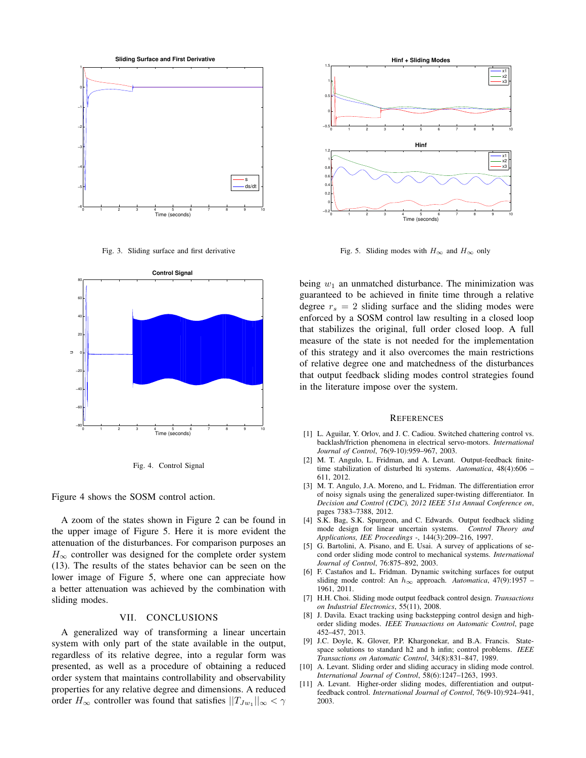

Fig. 3. Sliding surface and first derivative



Fig. 4. Control Signal

Figure 4 shows the SOSM control action.

A zoom of the states shown in Figure 2 can be found in the upper image of Figure 5. Here it is more evident the attenuation of the disturbances. For comparison purposes an  $H_{\infty}$  controller was designed for the complete order system (13). The results of the states behavior can be seen on the lower image of Figure 5, where one can appreciate how a better attenuation was achieved by the combination with sliding modes.

## VII. CONCLUSIONS

A generalized way of transforming a linear uncertain system with only part of the state available in the output, regardless of its relative degree, into a regular form was presented, as well as a procedure of obtaining a reduced order system that maintains controllability and observability properties for any relative degree and dimensions. A reduced order  $H_{\infty}$  controller was found that satisfies  $||T_{Jw_1}||_{\infty} < \gamma$ 



Fig. 5. Sliding modes with  $H_{\infty}$  and  $H_{\infty}$  only

being  $w_1$  an unmatched disturbance. The minimization was guaranteed to be achieved in finite time through a relative degree  $r_s = 2$  sliding surface and the sliding modes were enforced by a SOSM control law resulting in a closed loop that stabilizes the original, full order closed loop. A full measure of the state is not needed for the implementation of this strategy and it also overcomes the main restrictions of relative degree one and matchedness of the disturbances that output feedback sliding modes control strategies found in the literature impose over the system.

## **REFERENCES**

- [1] L. Aguilar, Y. Orlov, and J. C. Cadiou. Switched chattering control vs. backlash/friction phenomena in electrical servo-motors. *International Journal of Control*, 76(9-10):959–967, 2003.
- [2] M. T. Angulo, L. Fridman, and A. Levant. Output-feedback finitetime stabilization of disturbed lti systems. *Automatica*, 48(4):606 – 611, 2012.
- [3] M. T. Angulo, J.A. Moreno, and L. Fridman. The differentiation error of noisy signals using the generalized super-twisting differentiator. In *Decision and Control (CDC), 2012 IEEE 51st Annual Conference on*, pages 7383–7388, 2012.
- [4] S.K. Bag, S.K. Spurgeon, and C. Edwards. Output feedback sliding mode design for linear uncertain systems. *Control Theory and Applications, IEE Proceedings -*, 144(3):209–216, 1997.
- [5] G. Bartolini, A. Pisano, and E. Usai. A survey of applications of second order sliding mode control to mechanical systems. *International Journal of Control*, 76:875–892, 2003.
- [6] F. Castaños and L. Fridman. Dynamic switching surfaces for output sliding mode control: An  $h_{\infty}$  approach. *Automatica*, 47(9):1957 – 1961, 2011.
- [7] H.H. Choi. Sliding mode output feedback control design. *Transactions on Industrial Electronics*, 55(11), 2008.
- [8] J. Davila. Exact tracking using backstepping control design and highorder sliding modes. *IEEE Transactions on Automatic Control*, page 452–457, 2013.
- [9] J.C. Doyle, K. Glover, P.P. Khargonekar, and B.A. Francis. Statespace solutions to standard h2 and h infin; control problems. *IEEE Transactions on Automatic Control*, 34(8):831–847, 1989.
- [10] A. Levant. Sliding order and sliding accuracy in sliding mode control. *International Journal of Control*, 58(6):1247–1263, 1993.
- [11] A. Levant. Higher-order sliding modes, differentiation and outputfeedback control. *International Journal of Control*, 76(9-10):924–941, 2003.